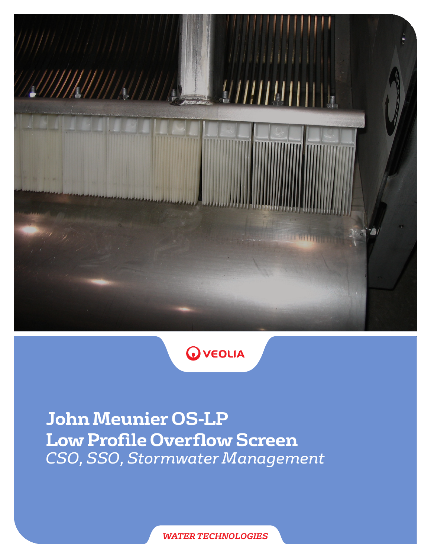



**John Meunier OS-LP Low Profile Overflow Screen** *CSO, SSO, Stormwater Management*

*WATER TECHNOLOGIES*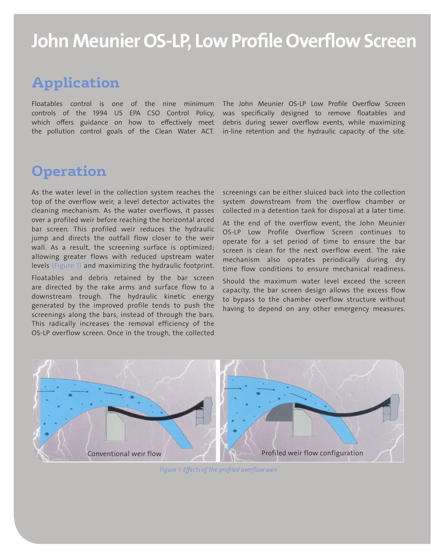# John Meunier OS-LP, Low Profile Overflow Screen

### **Application**

Floatables control is one of the nine minimum controls of the 1994 US EPA CSO Control Policy, which offers guidance on how to effectively meet the pollution control goals of the Clean Water ACT.

The John Meunier OS-LP Low Profile Overflow Screen was specifically designed to remove floatables and debris during sewer overflow events, while maximizing in-line retention and the hydraulic capacity of the site.

#### **Operation**

As the water level in the collection system reaches the top of the overflow weir, a level detector activates the cleaning mechanism. As the water overflows, it passes over a profiled weir before reaching the horizontal arced bar screen. This profiled weir reduces the hydraulic jump and directs the outfall flow closer to the weir wall. As a result, the screening surface is optimized; allowing greater flows with reduced upstream water levels (Figure 1) and maximizing the hydraulic footprint.

Floatables and debris retained by the bar screen are directed by the rake arms and surface flow to a downstream trough. The hydraulic kinetic energy generated by the improved profile tends to push the screenings along the bars, instead of through the bars. This radically increases the removal efficiency of the OS-LP overflow screen. Once in the trough, the collected

screenings can be either sluiced back into the collection system downstream from the overflow chamber or collected in a detention tank for disposal at a later time.

At the end of the overflow event, the John Meunier OS-LP Low Profile Overflow Screen continues to operate for a set period of time to ensure the bar screen is clean for the next overflow event. The rake mechanism also operates periodically during dry time flow conditions to ensure mechanical readiness.

Should the maximum water level exceed the screen capacity, the bar screen design allows the excess flow to bypass to the chamber overflow structure without having to depend on any other emergency measures.



*Figure 1: Effects of the profiled overflow weir*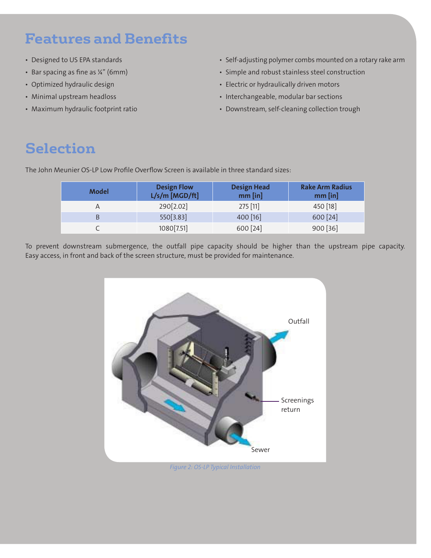## **Features and Benefits**

- Designed to US EPA standards
- Bar spacing as fine as ¼" (6mm)
- Optimized hydraulic design
- • Minimal upstream headloss
- Maximum hydraulic footprint ratio
- Self-adjusting polymer combs mounted on a rotary rake arm
- • Simple and robust stainless steel construction
- Electric or hydraulically driven motors
- Interchangeable, modular bar sections
- Downstream, self-cleaning collection trough

## **Selection**

The John Meunier OS-LP Low Profile Overflow Screen is available in three standard sizes:

| <b>Model</b> | <b>Design Flow</b><br>$L/s/m$ [MGD/ft] | <b>Design Head</b><br>$mm$ [in] | <b>Rake Arm Radius</b><br>$mm$ [in] |
|--------------|----------------------------------------|---------------------------------|-------------------------------------|
|              | 290[2.02]                              | $275$ [11]                      | 450 [18]                            |
|              | 550[3.83]                              | 400 [16]                        | 600 [24]                            |
|              | 1080 [7.51]                            | 600 [24]                        | 900 [36]                            |

To prevent downstream submergence, the outfall pipe capacity should be higher than the upstream pipe capacity. Easy access, in front and back of the screen structure, must be provided for maintenance.



*Figure 2: OS-LP Typical Installation*